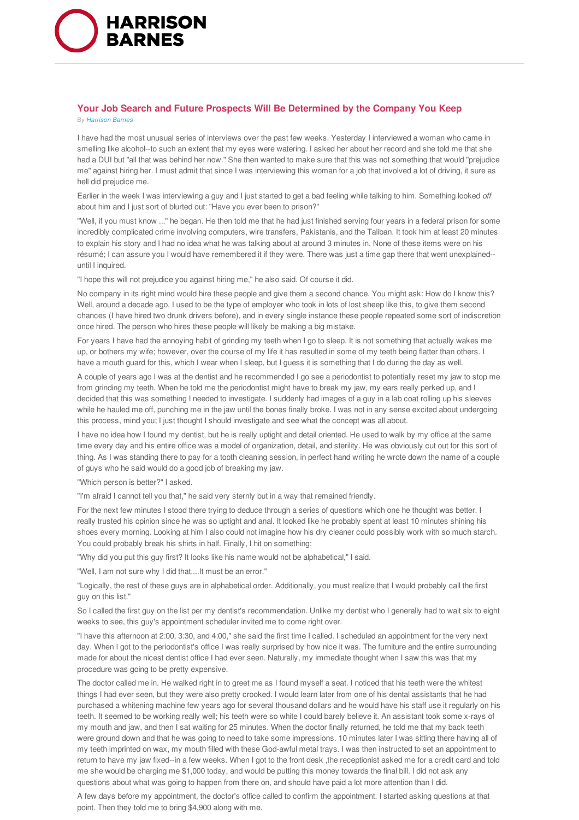

## **Your Job Search and Future Prospects Will Be Determined by the Company You Keep** By *Harrison Barnes*

I have had the most unusual series of interviews over the past few weeks. Yesterday I interviewed a woman who came in smelling like alcohol--to such an extent that my eyes were watering. I asked her about her record and she told me that she had a DUI but "all that was behind her now." She then wanted to make sure that this was not something that would "prejudice me" against hiring her. I must admit that since I was interviewing this woman for a job that involved a lot of driving, it sure as hell did prejudice me.

Earlier in the week I was interviewing a guy and I just started to get a bad feeling while talking to him. Something looked *off* about him and I just sort of blurted out: "Have you ever been to prison?"

"Well, if you must know ..." he began. He then told me that he had just finished serving four years in a federal prison for some incredibly complicated crime involving computers, wire transfers, Pakistanis, and the Taliban. It took him at least 20 minutes to explain his story and I had no idea what he was talking about at around 3 minutes in. None of these items were on his résumé; I can assure you I would have remembered it if they were. There was just a time gap there that went unexplained- until I inquired.

"I hope this will not prejudice you against hiring me," he also said. Of course it did.

No company in its right mind would hire these people and give them a second chance. You might ask: How do I know this? Well, around a decade ago, I used to be the type of employer who took in lots of lost sheep like this, to give them second chances (I have hired two drunk drivers before), and in every single instance these people repeated some sort of indiscretion once hired. The person who hires these people will likely be making a big mistake.

For years I have had the annoying habit of grinding my teeth when I go to sleep. It is not something that actually wakes me up, or bothers my wife; however, over the course of my life it has resulted in some of my teeth being flatter than others. I have a mouth guard for this, which I wear when I sleep, but I guess it is something that I do during the day as well.

A couple of years ago I was at the dentist and he recommended I go see a periodontist to potentially reset my jaw to stop me from grinding my teeth. When he told me the periodontist might have to break my jaw, my ears really perked up, and I decided that this was something I needed to investigate. I suddenly had images of a guy in a lab coat rolling up his sleeves while he hauled me off, punching me in the jaw until the bones finally broke. I was not in any sense excited about undergoing this process, mind you; I just thought I should investigate and see what the concept was all about.

I have no idea how I found my dentist, but he is really uptight and detail oriented. He used to walk by my office at the same time every day and his entire office was a model of organization, detail, and sterility. He was obviously cut out for this sort of thing. As I was standing there to pay for a tooth cleaning session, in perfect hand writing he wrote down the name of a couple of guys who he said would do a good job of breaking my jaw.

"Which person is better?" I asked.

"I'm afraid I cannot tell you that," he said very sternly but in a way that remained friendly.

For the next few minutes I stood there trying to deduce through a series of questions which one he thought was better. I really trusted his opinion since he was so uptight and anal. It looked like he probably spent at least 10 minutes shining his shoes every morning. Looking at him I also could not imagine how his dry cleaner could possibly work with so much starch. You could probably break his shirts in half. Finally, I hit on something:

"Why did you put this guy first? It looks like his name would not be alphabetical," I said.

"Well, I am not sure why I did that....It must be an error."

"Logically, the rest of these guys are in alphabetical order. Additionally, you must realize that I would probably call the first guy on this list."

So I called the first guy on the list per my dentist's recommendation. Unlike my dentist who I generally had to wait six to eight weeks to see, this guy's appointment scheduler invited me to come right over.

"I have this afternoon at 2:00, 3:30, and 4:00," she said the first time I called. I scheduled an appointment for the very next day. When I got to the periodontist's office I was really surprised by how nice it was. The furniture and the entire surrounding made for about the nicest dentist office I had ever seen. Naturally, my immediate thought when I saw this was that my procedure was going to be pretty expensive.

The doctor called me in. He walked right in to greet me as I found myself a seat. I noticed that his teeth were the whitest things I had ever seen, but they were also pretty crooked. I would learn later from one of his dental assistants that he had purchased a whitening machine few years ago for several thousand dollars and he would have his staff use it regularly on his teeth. It seemed to be working really well; his teeth were so white I could barely believe it. An assistant took some x-rays of my mouth and jaw, and then I sat waiting for 25 minutes. When the doctor finally returned, he told me that my back teeth were ground down and that he was going to need to take some impressions. 10 minutes later I was sitting there having all of my teeth imprinted on wax, my mouth filled with these God-awful metal trays. I was then instructed to set an appointment to return to have my jaw fixed--in a few weeks. When I got to the front desk ,the receptionist asked me for a credit card and told me she would be charging me \$1,000 today, and would be putting this money towards the final bill. I did not ask any questions about what was going to happen from there on, and should have paid a lot more attention than I did.

A few days before my appointment, the doctor's office called to confirm the appointment. I started asking questions at that point. Then they told me to bring \$4,900 along with me.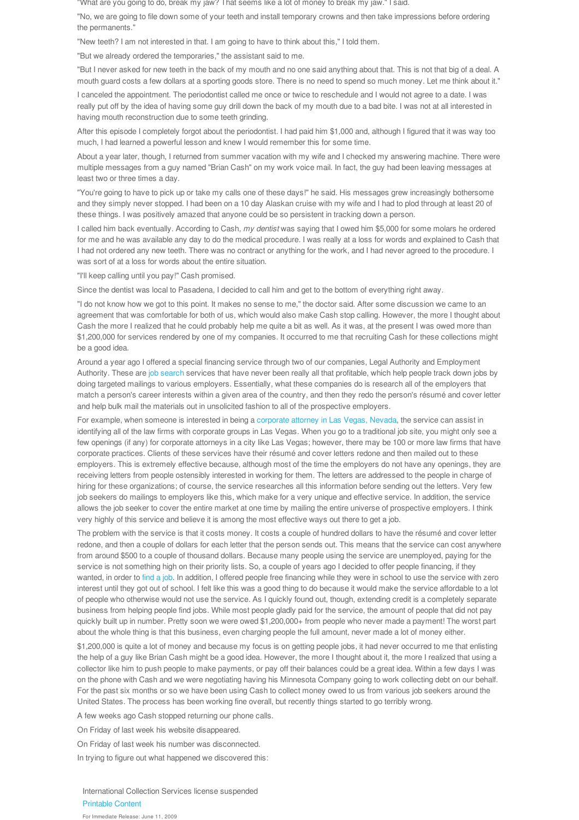"What are you going to do, break my jaw? That seems like a lot of money to break my jaw." I said.

"No, we are going to file down some of your teeth and install temporary crowns and then take impressions before ordering the permanents."

"New teeth? I am not interested in that. I am going to have to think about this," I told them.

"But we already ordered the temporaries," the assistant said to me.

"But I never asked for new teeth in the back of my mouth and no one said anything about that. This is not that big of a deal. A mouth guard costs a few dollars at a sporting goods store. There is no need to spend so much money. Let me think about it."

I canceled the appointment. The periodontist called me once or twice to reschedule and I would not agree to a date. I was really put off by the idea of having some guy drill down the back of my mouth due to a bad bite. I was not at all interested in having mouth reconstruction due to some teeth grinding.

After this episode I completely forgot about the periodontist. I had paid him \$1,000 and, although I figured that it was way too much, I had learned a powerful lesson and knew I would remember this for some time.

About a year later, though, I returned from summer vacation with my wife and I checked my answering machine. There were multiple messages from a guy named "Brian Cash" on my work voice mail. In fact, the guy had been leaving messages at least two or three times a day.

"You're going to have to pick up or take my calls one of these days!" he said. His messages grew increasingly bothersome and they simply never stopped. I had been on a 10 day Alaskan cruise with my wife and I had to plod through at least 20 of these things. I was positively amazed that anyone could be so persistent in tracking down a person.

I called him back eventually. According to Cash, *my dentist* was saying that I owed him \$5,000 for some molars he ordered for me and he was available any day to do the medical procedure. I was really at a loss for words and explained to Cash that I had not ordered any new teeth. There was no contract or anything for the work, and I had never agreed to the procedure. I was sort of at a loss for words about the entire situation.

"I'll keep calling until you pay!" Cash promised.

Since the dentist was local to Pasadena, I decided to call him and get to the bottom of everything right away.

"I do not know how we got to this point. It makes no sense to me," the doctor said. After some discussion we came to an agreement that was comfortable for both of us, which would also make Cash stop calling. However, the more I thought about Cash the more I realized that he could probably help me quite a bit as well. As it was, at the present I was owed more than \$1,200,000 for services rendered by one of my companies. It occurred to me that recruiting Cash for these collections might be a good idea.

Around a year ago I offered a special financing service through two of our companies, Legal Authority and Employment Authority. These are job search services that have never been really all that profitable, which help people track down jobs by doing targeted mailings to various employers. Essentially, what these companies do is research all of the employers that match a person's career interests within a given area of the country, and then they redo the person's résumé and cover letter and help bulk mail the materials out in unsolicited fashion to all of the prospective employers.

For example, when someone is interested in being a corporate attorney in Las Vegas, Nevada, the service can assist in identifying all of the law firms with corporate groups in Las Vegas. When you go to a traditional job site, you might only see a few openings (if any) for corporate attorneys in a city like Las Vegas; however, there may be 100 or more law firms that have corporate practices. Clients of these services have their résumé and cover letters redone and then mailed out to these employers. This is extremely effective because, although most of the time the employers do not have any openings, they are receiving letters from people ostensibly interested in working for them. The letters are addressed to the people in charge of hiring for these organizations; of course, the service researches all this information before sending out the letters. Very few job seekers do mailings to employers like this, which make for a very unique and effective service. In addition, the service allows the job seeker to cover the entire market at one time by mailing the entire universe of prospective employers. I think very highly of this service and believe it is among the most effective ways out there to get a job.

The problem with the service is that it costs money. It costs a couple of hundred dollars to have the résumé and cover letter redone, and then a couple of dollars for each letter that the person sends out. This means that the service can cost anywhere from around \$500 to a couple of thousand dollars. Because many people using the service are unemployed, paying for the service is not something high on their priority lists. So, a couple of years ago I decided to offer people financing, if they wanted, in order to find a job. In addition, I offered people free financing while they were in school to use the service with zero interest until they got out of school. I felt like this was a good thing to do because it would make the service affordable to a lot of people who otherwise would not use the service. As I quickly found out, though, extending credit is a completely separate business from helping people find jobs. While most people gladly paid for the service, the amount of people that did not pay quickly built up in number. Pretty soon we were owed \$1,200,000+ from people who never made a payment! The worst part about the whole thing is that this business, even charging people the full amount, never made a lot of money either.

\$1,200,000 is quite a lot of money and because my focus is on getting people jobs, it had never occurred to me that enlisting the help of a guy like Brian Cash might be a good idea. However, the more I thought about it, the more I realized that using a collector like him to push people to make payments, or pay off their balances could be a great idea. Within a few days I was on the phone with Cash and we were negotiating having his Minnesota Company going to work collecting debt on our behalf. For the past six months or so we have been using Cash to collect money owed to us from various job seekers around the United States. The process has been working fine overall, but recently things started to go terribly wrong.

A few weeks ago Cash stopped returning our phone calls.

On Friday of last week his website disappeared.

On Friday of last week his number was disconnected.

In trying to figure out what happened we discovered this:

International Collection Services license suspended Printable Content For Immediate Release: June 11, 2009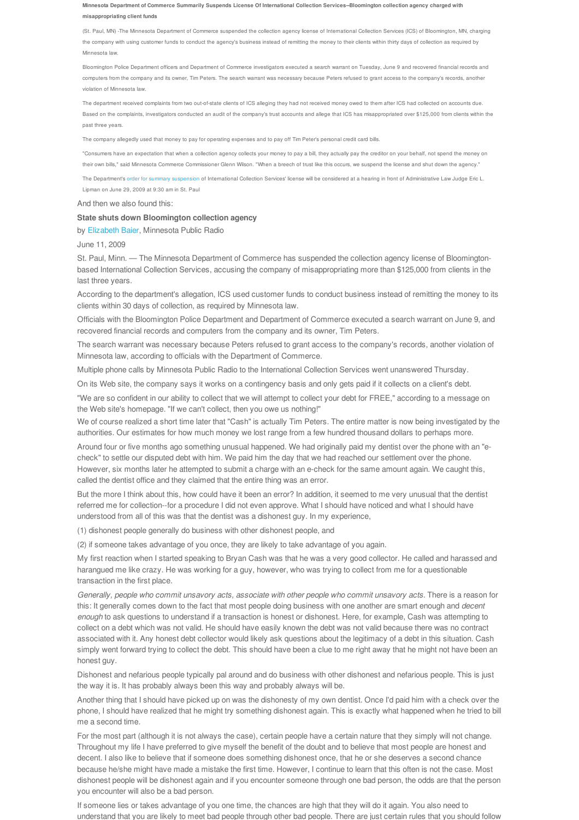Minnesota Department of Commerce Summarily Suspends License Of International Collection Services-Bloomington collection agency charged with **misappropriating client funds**

(St. Paul, MN) -The Minnesota Department of Commerce suspended the collection agency license of International Collection Services (ICS) of Bloomington, MN, charging the company with using customer funds to conduct the agency's business instead of remitting the money to their clients within thirty days of collection as required by Minnesota law.

Bloomington Police Department officers and Department of Commerce investigators executed a search warrant on Tuesday, June 9 and recovered financial records and computers from the company and its owner, Tim Peters. The search warrant was necessary because Peters refused to grant access to the company's records, another violation of Minnesota law.

The department received complaints from two out-of-state clients of ICS alleging they had not received money owed to them after ICS had collected on accounts due. Based on the complaints, investigators conducted an audit of the company's trust accounts and allege that ICS has misappropriated over \$125,000 from clients within the past three years.

The company allegedly used that money to pay for operating expenses and to pay off Tim Peter's personal credit card bills.

"Consumers have an expectation that when a collection agency collects your money to pay a bill, they actually pay the creditor on your behalf, not spend the money on their own bills," said Minnesota Commerce Commissioner Glenn Wilson. "When a breech of trust like this occurs, we suspend the license and shut down the agency."

The Department's order for summary suspension of International Collection Services' license will be considered at a hearing in front of Administrative Law Judge Eric L. Lipman on June 29, 2009 at 9:30 am in St. Paul

And then we also found this:

## **State shuts down Bloomington collection agency**

by Elizabeth Baier, Minnesota Public Radio

June 11, 2009

St. Paul, Minn. — The Minnesota Department of Commerce has suspended the collection agency license of Bloomingtonbased International Collection Services, accusing the company of misappropriating more than \$125,000 from clients in the last three years.

According to the department's allegation, ICS used customer funds to conduct business instead of remitting the money to its clients within 30 days of collection, as required by Minnesota law.

Officials with the Bloomington Police Department and Department of Commerce executed a search warrant on June 9, and recovered financial records and computers from the company and its owner, Tim Peters.

The search warrant was necessary because Peters refused to grant access to the company's records, another violation of Minnesota law, according to officials with the Department of Commerce.

Multiple phone calls by Minnesota Public Radio to the International Collection Services went unanswered Thursday.

On its Web site, the company says it works on a contingency basis and only gets paid if it collects on a client's debt.

"We are so confident in our ability to collect that we will attempt to collect your debt for FREE," according to a message on the Web site's homepage. "If we can't collect, then you owe us nothing!"

We of course realized a short time later that "Cash" is actually Tim Peters. The entire matter is now being investigated by the authorities. Our estimates for how much money we lost range from a few hundred thousand dollars to perhaps more.

Around four or five months ago something unusual happened. We had originally paid my dentist over the phone with an "echeck" to settle our disputed debt with him. We paid him the day that we had reached our settlement over the phone. However, six months later he attempted to submit a charge with an e-check for the same amount again. We caught this, called the dentist office and they claimed that the entire thing was an error.

But the more I think about this, how could have it been an error? In addition, it seemed to me very unusual that the dentist referred me for collection--for a procedure I did not even approve. What I should have noticed and what I should have understood from all of this was that the dentist was a dishonest guy. In my experience,

(1) dishonest people generally do business with other dishonest people, and

(2) if someone takes advantage of you once, they are likely to take advantage of you again.

My first reaction when I started speaking to Bryan Cash was that he was a very good collector. He called and harassed and harangued me like crazy. He was working for a guy, however, who was trying to collect from me for a questionable transaction in the first place.

*Generally, people who commit unsavory acts, associate with other people who commit unsavory acts*. There is a reason for this: It generally comes down to the fact that most people doing business with one another are smart enough and *decent enough* to ask questions to understand if a transaction is honest or dishonest. Here, for example, Cash was attempting to collect on a debt which was not valid. He should have easily known the debt was not valid because there was no contract associated with it. Any honest debt collector would likely ask questions about the legitimacy of a debt in this situation. Cash simply went forward trying to collect the debt. This should have been a clue to me right away that he might not have been an honest guy.

Dishonest and nefarious people typically pal around and do business with other dishonest and nefarious people. This is just the way it is. It has probably always been this way and probably always will be.

Another thing that I should have picked up on was the dishonesty of my own dentist. Once I'd paid him with a check over the phone, I should have realized that he might try something dishonest again. This is exactly what happened when he tried to bill me a second time.

For the most part (although it is not always the case), certain people have a certain nature that they simply will not change. Throughout my life I have preferred to give myself the benefit of the doubt and to believe that most people are honest and decent. I also like to believe that if someone does something dishonest once, that he or she deserves a second chance because he/she might have made a mistake the first time. However, I continue to learn that this often is not the case. Most dishonest people will be dishonest again and if you encounter someone through one bad person, the odds are that the person you encounter will also be a bad person.

If someone lies or takes advantage of you one time, the chances are high that they will do it again. You also need to understand that you are likely to meet bad people through other bad people. There are just certain rules that you should follow